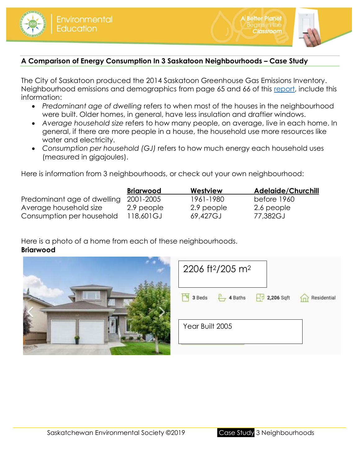



lassroom

# **A Comparison of Energy Consumption In 3 Saskatoon Neighbourhoods – Case Study**

The City of Saskatoon produced the 2014 Saskatoon Greenhouse Gas Emissions Inventory. Neighbourhood emissions and demographics from page 65 and 66 of this [report,](https://www.saskatoon.ca/sites/default/files/documents/corporate-performance/environmental-corporate-initiatives/2014_saskatoon_greenhouse_gas_emissions_inventory.pdf) include this information:

- *Predominant age of dwelling* refers to when most of the houses in the neighbourhood were built. Older homes, in general, have less insulation and draftier windows.
- *Average household size* refers to how many people, on average, live in each home. In general, if there are more people in a house, the household use more resources like water and electricity.
- *Consumption per household (GJ)* refers to how much energy each household uses (measured in gigajoules).

Here is information from 3 neighbourhoods, or check out your own neighbourhood:

|                             | <b>Briarwood</b> | Westview   | <b>Adelaide/Churchill</b> |
|-----------------------------|------------------|------------|---------------------------|
| Predominant age of dwelling | 2001-2005        | 1961-1980  | before 1960               |
| Average household size      | 2.9 people       | 2.9 people | 2.6 people                |
| Consumption per household   | 118,601GJ        | 69,427GJ   | 77,382GJ                  |

Here is a photo of a home from each of these neighbourhoods. **Briarwood**

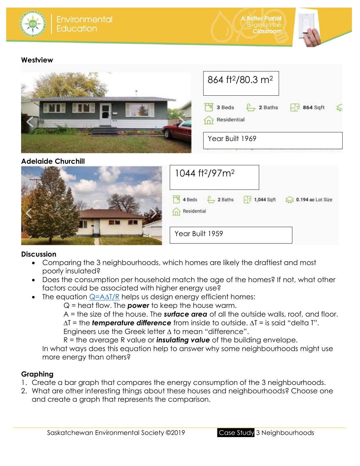



## **Westview**



# **Adelaide Churchill**

| 1044 ft <sup>2</sup> /97m <sup>2</sup>                                                                    |
|-----------------------------------------------------------------------------------------------------------|
| $\frac{1}{8}$ 4 Beds<br>$-1$ 1,044 Sqft<br><b>Q</b> 0.194 ac Lot Size<br>2 Baths<br>Residential<br>$\Box$ |
| Year Built 1959                                                                                           |

## **Discussion**

- Comparing the 3 neighbourhoods, which homes are likely the draftiest and most poorly insulated?
- Does the consumption per household match the age of the homes? If not, what other factors could be associated with higher energy use?
- The equation  $\mathsf{Q} = \mathsf{A}\mathsf{\Delta} \mathsf{T}/\mathsf{R}$  helps us design energy efficient homes:

Q = heat flow. The *power* to keep the house warm.

A = the size of the house. The *surface area* of all the outside walls, roof, and floor.  $\Delta T$  = the **temperature difference** from inside to outside.  $\Delta T$  = is said "delta T".

Engineers use the Greek letter  $\Delta$  to mean "difference".

R = the average R value or *insulating value* of the building envelope.

In what ways does this equation help to answer why some neighbourhoods might use more energy than others?

# **Graphing**

- 1. Create a bar graph that compares the energy consumption of the 3 neighbourhoods.
- 2. What are other interesting things about these houses and neighbourhoods? Choose one and create a graph that represents the comparison.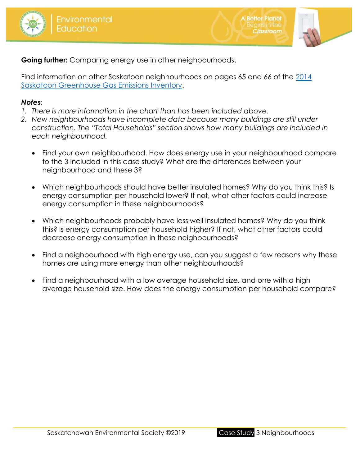



lassroom

**Going further:** Comparing energy use in other neighbourhoods.

Find information on other Saskatoon neighhourhoods on pages 65 and 66 of the 2014 [Saskatoon Greenhouse Gas Emissions Inventory.](https://www.saskatoon.ca/sites/default/files/documents/corporate-performance/environmental-corporate-initiatives/2014_saskatoon_greenhouse_gas_emissions_inventory.pdf)

## *Notes:*

- *1. There is more information in the chart than has been included above.*
- *2. New neighbourhoods have incomplete data because many buildings are still under construction. The "Total Households" section shows how many buildings are included in each neighbourhood.*
	- Find your own neighbourhood. How does energy use in your neighbourhood compare to the 3 included in this case study? What are the differences between your neighbourhood and these 3?
	- Which neighbourhoods should have better insulated homes? Why do you think this? Is energy consumption per household lower? If not, what other factors could increase energy consumption in these neighbourhoods?
	- Which neighbourhoods probably have less well insulated homes? Why do you think this? Is energy consumption per household higher? If not, what other factors could decrease energy consumption in these neighbourhoods?
	- Find a neighbourhood with high energy use, can you suggest a few reasons why these homes are using more energy than other neighbourhoods?
	- Find a neighbourhood with a low average household size, and one with a high average household size. How does the energy consumption per household compare?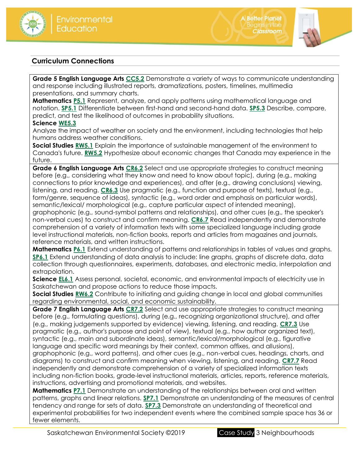



Begins in th **Classroom** 

## **Curriculum Connections**

**Grade 5 English Language Arts [CC5.2](https://www.edonline.sk.ca/webapps/moe-curriculum-BB5f208b6da4613/CurriculumOutcomeContent?id=31&oc=64980)** Demonstrate a variety of ways to communicate understanding and response including illustrated reports, dramatizations, posters, timelines, multimedia presentations, and summary charts.

**Mathematics [P5.1](https://www.edonline.sk.ca/webapps/moe-curriculum-BB5f208b6da4613/CurriculumOutcomeContent?id=149&oc=78485)** Represent, analyze, and apply patterns using mathematical language and notation. **[SP5.1](https://www.edonline.sk.ca/webapps/moe-curriculum-BB5f208b6da4613/CurriculumOutcomeContent?id=149&oc=78545)** Differentiate between first-hand and second-hand data. **[SP5.3](https://www.edonline.sk.ca/webapps/moe-curriculum-BB5f208b6da4613/CurriculumOutcomeContent?id=149&oc=78554)** Describe, compare, predict, and test the likelihood of outcomes in probability situations.

#### **Science [WE5.3](https://www.edonline.sk.ca/webapps/moe-curriculum-BB5f208b6da4613/CurriculumOutcomeContent?id=58&oc=24896)**

Analyze the impact of weather on society and the environment, including technologies that help humans address weather conditions.

**Social Studies [RW5.1](https://www.edonline.sk.ca/webapps/moe-curriculum-BB5f208b6da4613/CurriculumOutcomeContent?id=168&oc=83738)** Explain the importance of sustainable management of the environment to Canada's future. **[RW5.2](https://www.edonline.sk.ca/webapps/moe-curriculum-BB5f208b6da4613/CurriculumOutcomeContent?id=168&oc=83744)** Hypothesize about economic changes that Canada may experience in the future.

**Grade 6 English Language Arts [CR6.2](https://www.edonline.sk.ca/webapps/moe-curriculum-BB5f208b6da4613/CurriculumOutcomeContent?id=32&oc=73767)** Select and use appropriate strategies to construct meaning before (e.g., considering what they know and need to know about topic), during (e.g., making connections to prior knowledge and experiences), and after (e.g., drawing conclusions) viewing, listening, and reading. **[CR6.3](https://www.edonline.sk.ca/webapps/moe-curriculum-BB5f208b6da4613/CurriculumOutcomeContent?id=32&oc=73772)** Use pragmatic (e.g., function and purpose of texts), textual (e.g., form/genre, sequence of ideas), syntactic (e.g., word order and emphasis on particular words), semantic/lexical/ morphological (e.g., capture particular aspect of intended meaning), graphophonic (e.g., sound-symbol patterns and relationships), and other cues (e.g., the speaker's non-verbal cues) to construct and confirm meaning. **[CR6.7](https://www.edonline.sk.ca/webapps/moe-curriculum-BB5f208b6da4613/CurriculumOutcomeContent?id=32&oc=73805)** Read independently and demonstrate comprehension of a variety of information texts with some specialized language including grade level instructional materials, non-fiction books, reports and articles from magazines and journals, reference materials, and written instructions.

**Mathematics [P6.1](https://www.edonline.sk.ca/webapps/moe-curriculum-BB5f208b6da4613/CurriculumOutcomeContent?id=150&oc=78627)** Extend understanding of patterns and relationships in tables of values and graphs. **[SP6.1](https://www.edonline.sk.ca/webapps/moe-curriculum-BB5f208b6da4613/CurriculumOutcomeContent?id=150&oc=78706)** Extend understanding of data analysis to include: line graphs, graphs of discrete data, data collection through questionnaires, experiments, databases, and electronic media, interpolation and extrapolation.

**Science [EL6.1](https://www.edonline.sk.ca/webapps/moe-curriculum-BB5f208b6da4613/CurriculumOutcomeContent?id=59&oc=69350)** Assess personal, societal, economic, and environmental impacts of electricity use in Saskatchewan and propose actions to reduce those impacts.

**Social Studies <b>[RW6.2](https://www.edonline.sk.ca/webapps/moe-curriculum-BB5f208b6da4613/CurriculumOutcomeContent?id=169&oc=83827)** Contribute to initiating and guiding change in local and global communities regarding environmental, social, and economic sustainability.

**Grade 7 English Language Arts [CR7.2](https://www.edonline.sk.ca/webapps/moe-curriculum-BB5f208b6da4613/CurriculumOutcomeContent?id=33&oc=73958)** Select and use appropriate strategies to construct meaning before (e.g., formulating questions), during (e.g., recognizing organizational structure), and after (e.g., making judgements supported by evidence) viewing, listening, and reading. **[CR7.3](https://www.edonline.sk.ca/webapps/moe-curriculum-BB5f208b6da4613/CurriculumOutcomeContent?id=33&oc=73963)** Use pragmatic (e.g., author's purpose and point of view), textual (e.g., how author organized text), syntactic (e.g., main and subordinate ideas), semantic/lexical/morphological (e.g., figurative language and specific word meanings by their context, common affixes, and allusions), graphophonic (e.g., word patterns), and other cues (e.g., non-verbal cues, headings, charts, and diagrams) to construct and confirm meaning when viewing, listening, and reading. **[CR7.7](https://www.edonline.sk.ca/webapps/moe-curriculum-BB5f208b6da4613/CurriculumOutcomeContent?id=33&oc=74004)** Read independently and demonstrate comprehension of a variety of specialized information texts including non-fiction books, grade-level instructional materials, articles, reports, reference materials, instructions, advertising and promotional materials, and websites.

**Mathematics [P7.1](https://www.edonline.sk.ca/webapps/moe-curriculum-BB5f208b6da4613/CurriculumOutcomeContent?id=151&oc=78786)** Demonstrate an understanding of the relationships between oral and written patterns, graphs and linear relations. **[SP7.1](https://www.edonline.sk.ca/webapps/moe-curriculum-BB5f208b6da4613/CurriculumOutcomeContent?id=151&oc=78869)** Demonstrate an understanding of the measures of central tendency and range for sets of data. **[SP7.3](https://www.edonline.sk.ca/webapps/moe-curriculum-BB5f208b6da4613/CurriculumOutcomeContent?id=151&oc=78887)** Demonstrate an understanding of theoretical and experimental probabilities for two independent events where the combined sample space has 36 or fewer elements.